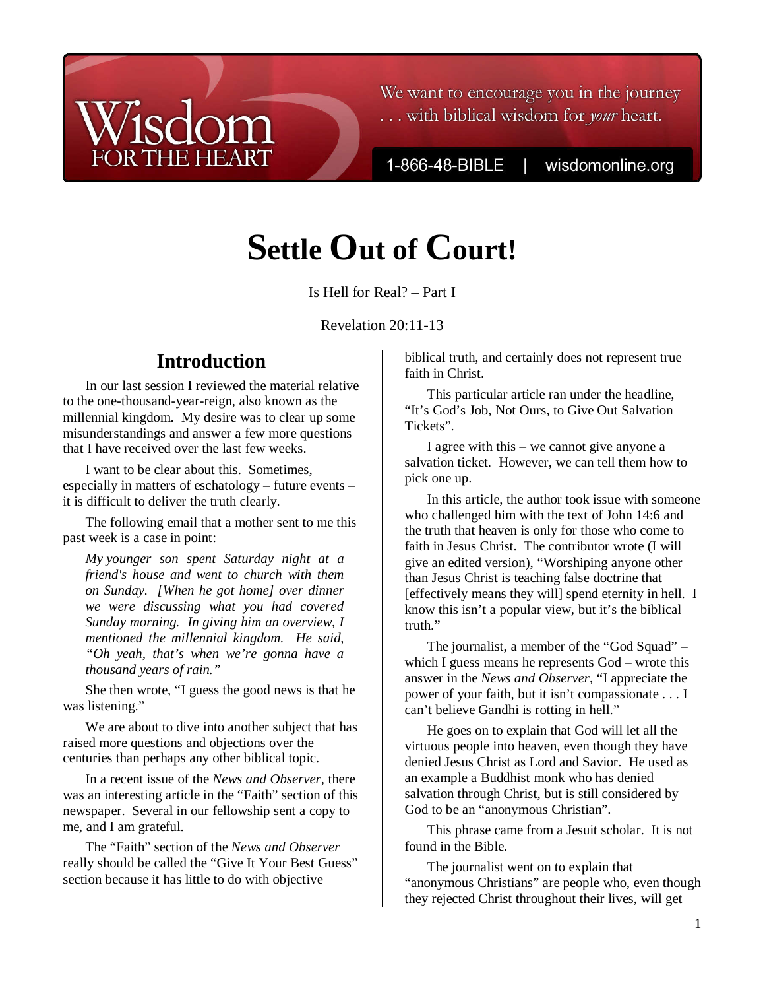# We want to encourage you in the journey ... with biblical wisdom for your heart.

1-866-48-BIBLE

wisdomonline.org

# **Settle Out of Court!**

Is Hell for Real? – Part I

Revelation 20:11-13

# **Introduction**

**THE HEART** 

In our last session I reviewed the material relative to the one-thousand-year-reign, also known as the millennial kingdom. My desire was to clear up some misunderstandings and answer a few more questions that I have received over the last few weeks.

I want to be clear about this. Sometimes, especially in matters of eschatology – future events – it is difficult to deliver the truth clearly.

The following email that a mother sent to me this past week is a case in point:

*My younger son spent Saturday night at a friend's house and went to church with them on Sunday. [When he got home] over dinner we were discussing what you had covered Sunday morning. In giving him an overview, I mentioned the millennial kingdom. He said, "Oh yeah, that's when we're gonna have a thousand years of rain."* 

She then wrote, "I guess the good news is that he was listening."

We are about to dive into another subject that has raised more questions and objections over the centuries than perhaps any other biblical topic.

In a recent issue of the *News and Observer*, there was an interesting article in the "Faith" section of this newspaper. Several in our fellowship sent a copy to me, and I am grateful.

The "Faith" section of the *News and Observer* really should be called the "Give It Your Best Guess" section because it has little to do with objective

biblical truth, and certainly does not represent true faith in Christ.

This particular article ran under the headline, "It's God's Job, Not Ours, to Give Out Salvation Tickets".

I agree with this – we cannot give anyone a salvation ticket. However, we can tell them how to pick one up.

In this article, the author took issue with someone who challenged him with the text of John 14:6 and the truth that heaven is only for those who come to faith in Jesus Christ. The contributor wrote (I will give an edited version), "Worshiping anyone other than Jesus Christ is teaching false doctrine that [effectively means they will] spend eternity in hell. I know this isn't a popular view, but it's the biblical truth."

The journalist, a member of the "God Squad" – which I guess means he represents God – wrote this answer in the *News and Observer*, "I appreciate the power of your faith, but it isn't compassionate . . . I can't believe Gandhi is rotting in hell."

He goes on to explain that God will let all the virtuous people into heaven, even though they have denied Jesus Christ as Lord and Savior. He used as an example a Buddhist monk who has denied salvation through Christ, but is still considered by God to be an "anonymous Christian".

This phrase came from a Jesuit scholar. It is not found in the Bible.

The journalist went on to explain that "anonymous Christians" are people who, even though they rejected Christ throughout their lives, will get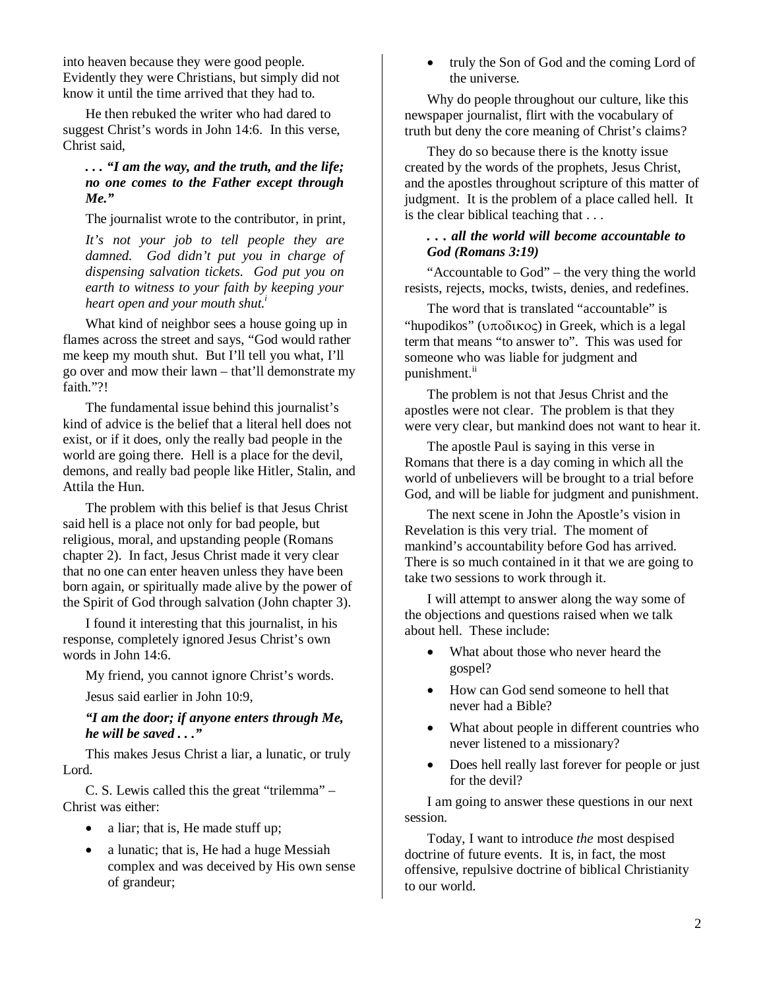into heaven because they were good people. Evidently they were Christians, but simply did not know it until the time arrived that they had to.

He then rebuked the writer who had dared to suggest Christ's words in John 14:6. In this verse, Christ said,

# *. . . "I am the way, and the truth, and the life; no one comes to the Father except through Me."*

The journalist wrote to the contributor, in print,

*It's not your job to tell people they are damned. God didn't put you in charge of dispensing salvation tickets. God put you on earth to witness to your faith by keeping your heart open and your mouth shut.<sup>i</sup>*

What kind of neighbor sees a house going up in flames across the street and says, "God would rather me keep my mouth shut. But I'll tell you what, I'll go over and mow their lawn – that'll demonstrate my faith."?!

The fundamental issue behind this journalist's kind of advice is the belief that a literal hell does not exist, or if it does, only the really bad people in the world are going there. Hell is a place for the devil, demons, and really bad people like Hitler, Stalin, and Attila the Hun.

The problem with this belief is that Jesus Christ said hell is a place not only for bad people, but religious, moral, and upstanding people (Romans chapter 2). In fact, Jesus Christ made it very clear that no one can enter heaven unless they have been born again, or spiritually made alive by the power of the Spirit of God through salvation (John chapter 3).

I found it interesting that this journalist, in his response, completely ignored Jesus Christ's own words in John 14:6.

My friend, you cannot ignore Christ's words.

Jesus said earlier in John 10:9,

*"I am the door; if anyone enters through Me, he will be saved . . ."*

This makes Jesus Christ a liar, a lunatic, or truly Lord.

C. S. Lewis called this the great "trilemma" – Christ was either:

- a liar; that is, He made stuff up;
- a lunatic; that is, He had a huge Messiah complex and was deceived by His own sense of grandeur;

• truly the Son of God and the coming Lord of the universe.

Why do people throughout our culture, like this newspaper journalist, flirt with the vocabulary of truth but deny the core meaning of Christ's claims?

They do so because there is the knotty issue created by the words of the prophets, Jesus Christ, and the apostles throughout scripture of this matter of judgment. It is the problem of a place called hell. It is the clear biblical teaching that . . .

# *. . . all the world will become accountable to God (Romans 3:19)*

"Accountable to God" – the very thing the world resists, rejects, mocks, twists, denies, and redefines.

The word that is translated "accountable" is "hupodikos" (υποδικος) in Greek, which is a legal term that means "to answer to". This was used for someone who was liable for judgment and punishment.<sup>ii</sup>

The problem is not that Jesus Christ and the apostles were not clear. The problem is that they were very clear, but mankind does not want to hear it.

The apostle Paul is saying in this verse in Romans that there is a day coming in which all the world of unbelievers will be brought to a trial before God, and will be liable for judgment and punishment.

The next scene in John the Apostle's vision in Revelation is this very trial. The moment of mankind's accountability before God has arrived. There is so much contained in it that we are going to take two sessions to work through it.

I will attempt to answer along the way some of the objections and questions raised when we talk about hell. These include:

- What about those who never heard the gospel?
- How can God send someone to hell that never had a Bible?
- What about people in different countries who never listened to a missionary?
- Does hell really last forever for people or just for the devil?

I am going to answer these questions in our next session.

Today, I want to introduce *the* most despised doctrine of future events. It is, in fact, the most offensive, repulsive doctrine of biblical Christianity to our world.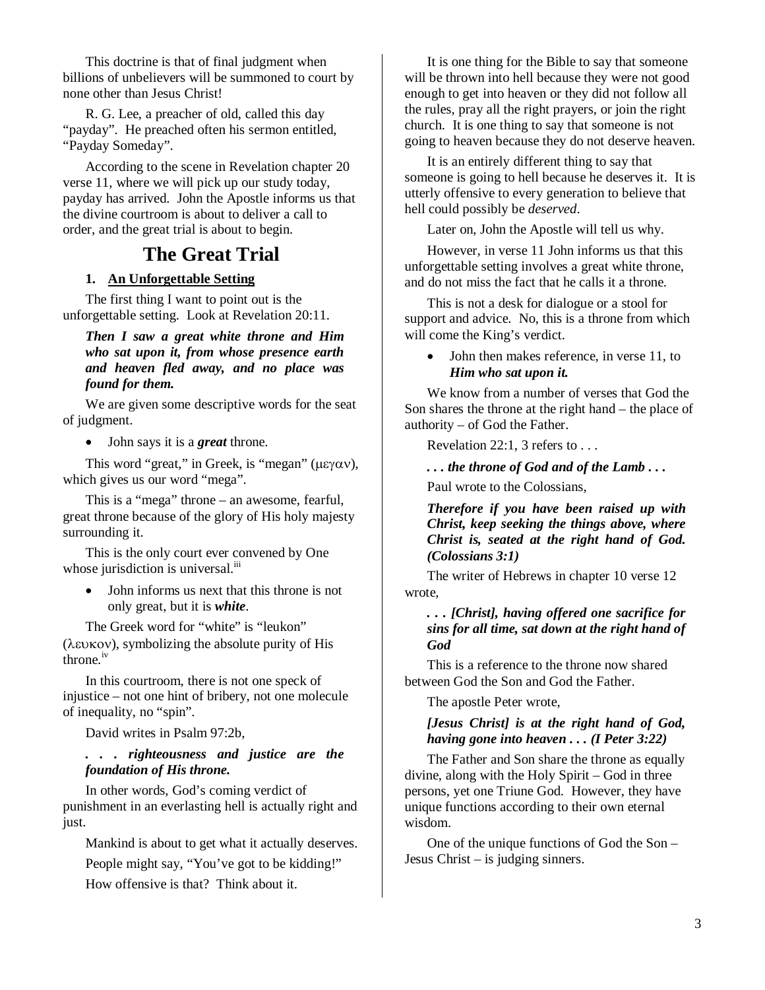This doctrine is that of final judgment when billions of unbelievers will be summoned to court by none other than Jesus Christ!

R. G. Lee, a preacher of old, called this day "payday". He preached often his sermon entitled, "Payday Someday".

According to the scene in Revelation chapter 20 verse 11, where we will pick up our study today, payday has arrived. John the Apostle informs us that the divine courtroom is about to deliver a call to order, and the great trial is about to begin.

# **The Great Trial**

# **1. An Unforgettable Setting**

The first thing I want to point out is the unforgettable setting. Look at Revelation 20:11.

# *Then I saw a great white throne and Him who sat upon it, from whose presence earth and heaven fled away, and no place was found for them.*

We are given some descriptive words for the seat of judgment.

• John says it is a *great* throne.

This word "great," in Greek, is "megan" (μεγαν), which gives us our word "mega".

This is a "mega" throne – an awesome, fearful, great throne because of the glory of His holy majesty surrounding it.

This is the only court ever convened by One whose jurisdiction is universal.<sup>iii</sup>

• John informs us next that this throne is not only great, but it is *white*.

The Greek word for "white" is "leukon" (λευκον), symbolizing the absolute purity of His throne.iv

In this courtroom, there is not one speck of injustice – not one hint of bribery, not one molecule of inequality, no "spin".

David writes in Psalm 97:2b,

# *. . . righteousness and justice are the foundation of His throne.*

In other words, God's coming verdict of punishment in an everlasting hell is actually right and just.

Mankind is about to get what it actually deserves. People might say, "You've got to be kidding!" How offensive is that? Think about it.

It is one thing for the Bible to say that someone will be thrown into hell because they were not good enough to get into heaven or they did not follow all the rules, pray all the right prayers, or join the right church. It is one thing to say that someone is not going to heaven because they do not deserve heaven.

It is an entirely different thing to say that someone is going to hell because he deserves it. It is utterly offensive to every generation to believe that hell could possibly be *deserved*.

Later on, John the Apostle will tell us why.

However, in verse 11 John informs us that this unforgettable setting involves a great white throne, and do not miss the fact that he calls it a throne.

This is not a desk for dialogue or a stool for support and advice. No, this is a throne from which will come the King's verdict.

#### • John then makes reference, in verse 11, to *Him who sat upon it.*

We know from a number of verses that God the Son shares the throne at the right hand – the place of authority – of God the Father.

Revelation 22:1, 3 refers to . . .

*. . . the throne of God and of the Lamb . . .* 

Paul wrote to the Colossians,

*Therefore if you have been raised up with Christ, keep seeking the things above, where Christ is, seated at the right hand of God. (Colossians 3:1)*

The writer of Hebrews in chapter 10 verse 12 wrote,

# *. . . [Christ], having offered one sacrifice for sins for all time, sat down at the right hand of God*

This is a reference to the throne now shared between God the Son and God the Father.

The apostle Peter wrote,

# *[Jesus Christ] is at the right hand of God, having gone into heaven . . . (I Peter 3:22)*

The Father and Son share the throne as equally divine, along with the Holy Spirit – God in three persons, yet one Triune God. However, they have unique functions according to their own eternal wisdom.

One of the unique functions of God the Son – Jesus Christ – is judging sinners.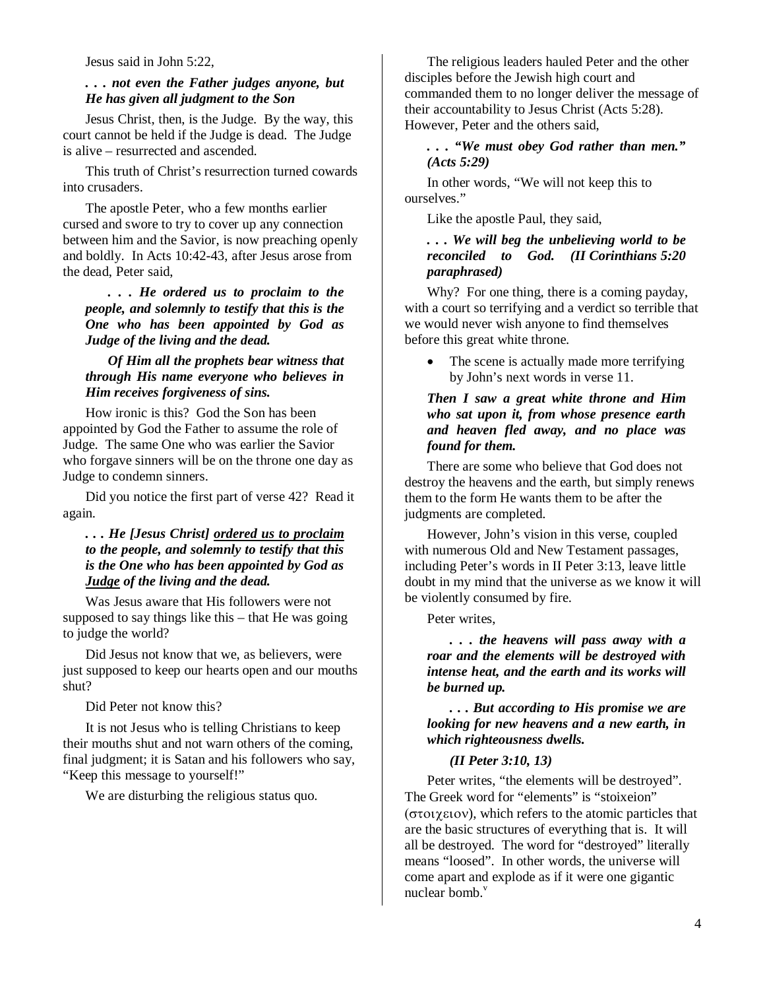#### Jesus said in John 5:22,

#### *. . . not even the Father judges anyone, but He has given all judgment to the Son*

Jesus Christ, then, is the Judge. By the way, this court cannot be held if the Judge is dead. The Judge is alive – resurrected and ascended.

This truth of Christ's resurrection turned cowards into crusaders.

The apostle Peter, who a few months earlier cursed and swore to try to cover up any connection between him and the Savior, is now preaching openly and boldly. In Acts 10:42-43, after Jesus arose from the dead, Peter said,

*. . . He ordered us to proclaim to the people, and solemnly to testify that this is the One who has been appointed by God as Judge of the living and the dead.* 

#### *Of Him all the prophets bear witness that through His name everyone who believes in Him receives forgiveness of sins.*

How ironic is this? God the Son has been appointed by God the Father to assume the role of Judge. The same One who was earlier the Savior who forgave sinners will be on the throne one day as Judge to condemn sinners.

Did you notice the first part of verse 42? Read it again.

# *. . . He [Jesus Christ] ordered us to proclaim to the people, and solemnly to testify that this is the One who has been appointed by God as Judge of the living and the dead.*

Was Jesus aware that His followers were not supposed to say things like this – that He was going to judge the world?

Did Jesus not know that we, as believers, were just supposed to keep our hearts open and our mouths shut?

Did Peter not know this?

It is not Jesus who is telling Christians to keep their mouths shut and not warn others of the coming, final judgment; it is Satan and his followers who say, "Keep this message to yourself!"

We are disturbing the religious status quo.

The religious leaders hauled Peter and the other disciples before the Jewish high court and commanded them to no longer deliver the message of their accountability to Jesus Christ (Acts 5:28). However, Peter and the others said,

#### *. . . "We must obey God rather than men." (Acts 5:29)*

In other words, "We will not keep this to ourselves."

Like the apostle Paul, they said,

# *. . . We will beg the unbelieving world to be reconciled to God. (II Corinthians 5:20 paraphrased)*

Why? For one thing, there is a coming payday, with a court so terrifying and a verdict so terrible that we would never wish anyone to find themselves before this great white throne.

The scene is actually made more terrifying by John's next words in verse 11.

# *Then I saw a great white throne and Him who sat upon it, from whose presence earth and heaven fled away, and no place was found for them.*

There are some who believe that God does not destroy the heavens and the earth, but simply renews them to the form He wants them to be after the judgments are completed.

However, John's vision in this verse, coupled with numerous Old and New Testament passages, including Peter's words in II Peter 3:13, leave little doubt in my mind that the universe as we know it will be violently consumed by fire.

Peter writes,

*. . . the heavens will pass away with a roar and the elements will be destroyed with intense heat, and the earth and its works will be burned up.* 

*. . . But according to His promise we are looking for new heavens and a new earth, in which righteousness dwells.* 

#### *(II Peter 3:10, 13)*

Peter writes, "the elements will be destroyed". The Greek word for "elements" is "stoixeion" (στοιχειον), which refers to the atomic particles that are the basic structures of everything that is. It will all be destroyed. The word for "destroyed" literally means "loosed". In other words, the universe will come apart and explode as if it were one gigantic nuclear bomb. $v$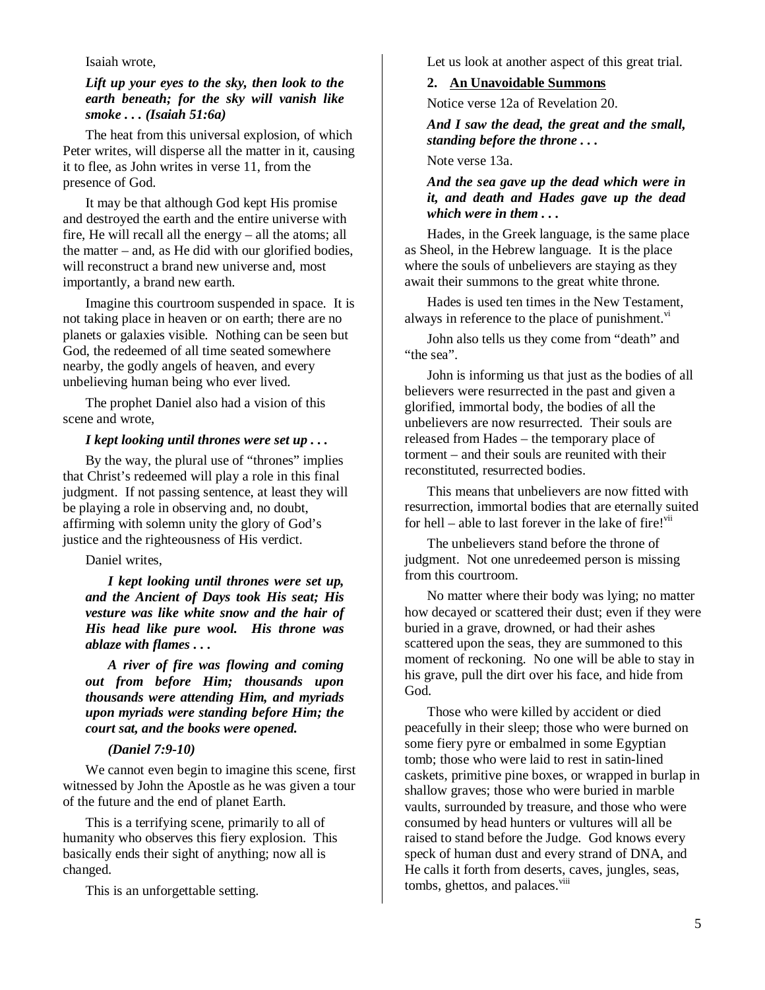#### Isaiah wrote,

# *Lift up your eyes to the sky, then look to the earth beneath; for the sky will vanish like smoke . . . (Isaiah 51:6a)*

The heat from this universal explosion, of which Peter writes, will disperse all the matter in it, causing it to flee, as John writes in verse 11, from the presence of God.

It may be that although God kept His promise and destroyed the earth and the entire universe with fire, He will recall all the energy – all the atoms; all the matter – and, as He did with our glorified bodies, will reconstruct a brand new universe and, most importantly, a brand new earth.

Imagine this courtroom suspended in space. It is not taking place in heaven or on earth; there are no planets or galaxies visible. Nothing can be seen but God, the redeemed of all time seated somewhere nearby, the godly angels of heaven, and every unbelieving human being who ever lived.

The prophet Daniel also had a vision of this scene and wrote,

# *I kept looking until thrones were set up . . .*

By the way, the plural use of "thrones" implies that Christ's redeemed will play a role in this final judgment. If not passing sentence, at least they will be playing a role in observing and, no doubt, affirming with solemn unity the glory of God's justice and the righteousness of His verdict.

Daniel writes,

*I kept looking until thrones were set up, and the Ancient of Days took His seat; His vesture was like white snow and the hair of His head like pure wool. His throne was ablaze with flames . . .* 

*A river of fire was flowing and coming out from before Him; thousands upon thousands were attending Him, and myriads upon myriads were standing before Him; the court sat, and the books were opened.* 

# *(Daniel 7:9-10)*

We cannot even begin to imagine this scene, first witnessed by John the Apostle as he was given a tour of the future and the end of planet Earth.

This is a terrifying scene, primarily to all of humanity who observes this fiery explosion. This basically ends their sight of anything; now all is changed.

This is an unforgettable setting.

Let us look at another aspect of this great trial.

# **2. An Unavoidable Summons**

Notice verse 12a of Revelation 20.

*And I saw the dead, the great and the small, standing before the throne . . .* 

Note verse 13a.

## *And the sea gave up the dead which were in it, and death and Hades gave up the dead which were in them . . .*

Hades, in the Greek language, is the same place as Sheol, in the Hebrew language. It is the place where the souls of unbelievers are staying as they await their summons to the great white throne.

Hades is used ten times in the New Testament, always in reference to the place of punishment. $\overline{v}$ <sup>vi</sup>

John also tells us they come from "death" and "the sea".

John is informing us that just as the bodies of all believers were resurrected in the past and given a glorified, immortal body, the bodies of all the unbelievers are now resurrected. Their souls are released from Hades – the temporary place of torment – and their souls are reunited with their reconstituted, resurrected bodies.

This means that unbelievers are now fitted with resurrection, immortal bodies that are eternally suited for hell – able to last forever in the lake of fire!<sup>vii</sup>

The unbelievers stand before the throne of judgment. Not one unredeemed person is missing from this courtroom.

No matter where their body was lying; no matter how decayed or scattered their dust; even if they were buried in a grave, drowned, or had their ashes scattered upon the seas, they are summoned to this moment of reckoning. No one will be able to stay in his grave, pull the dirt over his face, and hide from God.

Those who were killed by accident or died peacefully in their sleep; those who were burned on some fiery pyre or embalmed in some Egyptian tomb; those who were laid to rest in satin-lined caskets, primitive pine boxes, or wrapped in burlap in shallow graves; those who were buried in marble vaults, surrounded by treasure, and those who were consumed by head hunters or vultures will all be raised to stand before the Judge. God knows every speck of human dust and every strand of DNA, and He calls it forth from deserts, caves, jungles, seas, tombs, ghettos, and palaces.<sup>viii</sup>